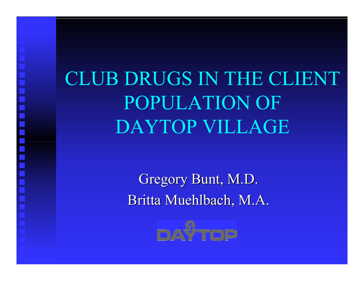$\equiv$ 

## CLUB DRUGS IN THE CLIENT POPULATION OF DAYTOP VILLAGE

Gregory Bunt, M.D. Britta Muehlbach, M.A.

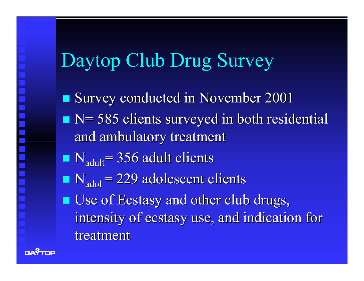# Daytop Club Drug Survey

- **Service Service** Survey conducted in November 2001
- $\blacksquare$  N= 585 clients surveyed in both residential and ambulatory treatment
- $\blacksquare$  N<sub>adult</sub> = 356 adult clients
- $\blacksquare$  N<sub>adol</sub> = 229 adolescent clients
- **Use of Ecstasy and other club drugs,** intensity of ecstasy use, and indication for treatment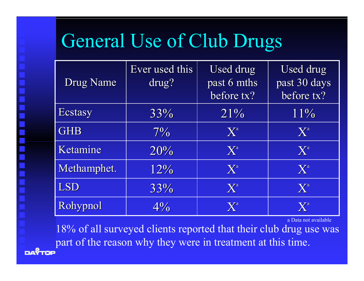#### General Use of Club Drugs

| <b>Drug Name</b> | Ever used this<br>drug? | Used drug<br>past 6 mths<br>before tx? | Used drug<br>past 30 days<br>before tx? |
|------------------|-------------------------|----------------------------------------|-----------------------------------------|
| <b>Ecstasy</b>   | 33%                     | $21\%$                                 | 11%                                     |
| <b>GHB</b>       | $7\%$                   | $\mathbf{X}^{\mathrm{a}}$              | $\mathbf{X}^{\mathrm{a}}$               |
| Ketamine         | 20%                     | $\mathbf{X}^{\mathrm{a}}$              | $\mathbf{X}^{\mathrm{a}}$               |
| Methamphet.      | 12%                     | $\mathbf{X}^{\mathrm{a}}$              | $\mathbf{X}^{\mathrm{a}}$               |
| LSD              | 33%                     | $\mathbf{X}^{\mathrm{a}}$              | $\mathbf{X}^{\mathrm{a}}$               |
| Rohypnol         | $4\%$                   | $\mathbf{X}^{\mathrm{a}}$              | $\mathbf{X}^{\mathrm{a}}$               |

a Data not available

18% of all surveyed clients reported that their club drug use was part of the reason why they were in treatment at this time.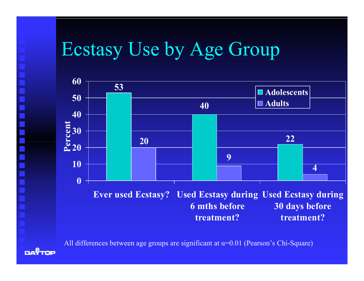#### Ecstasy Use by Age Group



All differences between age groups are significant at α=0.01 (Pearson's Chi-Square)

**DAY**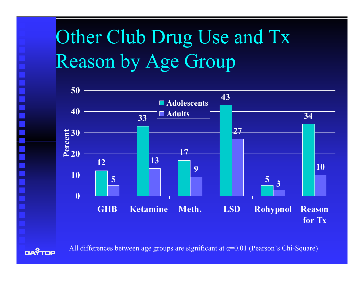### Other Club Drug Use and Tx Reason by Age Group





All differences between age groups are significant at  $\alpha$ =0.01 (Pearson's Chi-Square)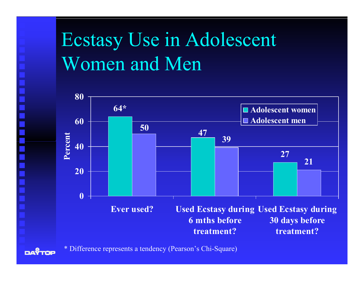Ecstasy Use in Adolescent Women and Men



\* Differ ence r e p resents a tendency (Pearson' s Chi-Square)

EX.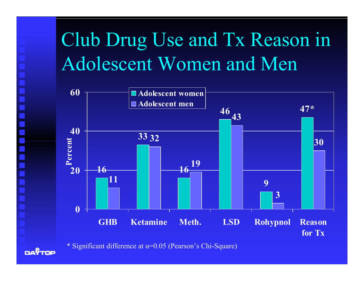## Club Drug Use and Tx Reason in Adolescent Women and Men



\* Significant difference at  $\alpha$ =0.05 (Pearson's Chi-Square)

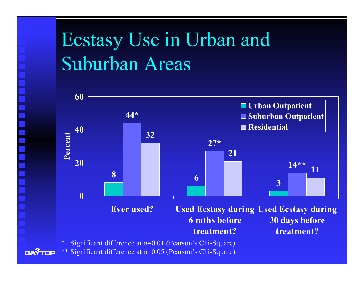#### Ecstasy Use in Urban and Suburban Areas



\*\* Significant diffe r ence at <sup>α</sup>=0.05 (Pearson' s Chi-Square)